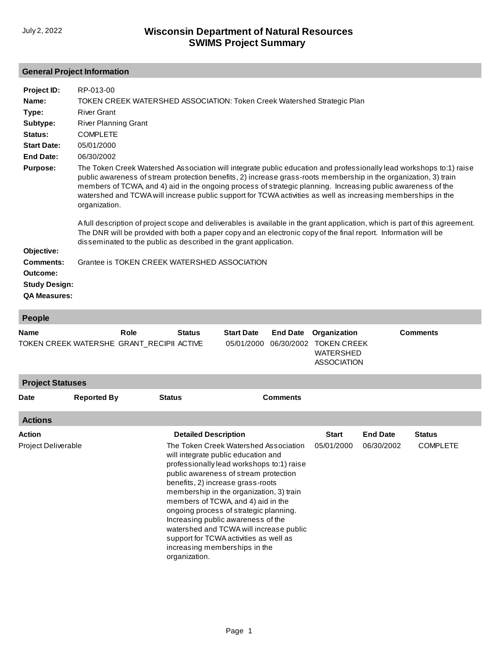#### **General Project Information**

| Project ID:          | RP-013-00                                                                                                                                                                                                                                                                                                                                                                                                                                                                                                                                                                                                                                                                                                                                                                                                        |
|----------------------|------------------------------------------------------------------------------------------------------------------------------------------------------------------------------------------------------------------------------------------------------------------------------------------------------------------------------------------------------------------------------------------------------------------------------------------------------------------------------------------------------------------------------------------------------------------------------------------------------------------------------------------------------------------------------------------------------------------------------------------------------------------------------------------------------------------|
| Name:                | TOKEN CREEK WATERSHED ASSOCIATION: Token Creek Watershed Strategic Plan                                                                                                                                                                                                                                                                                                                                                                                                                                                                                                                                                                                                                                                                                                                                          |
| Type:                | <b>River Grant</b>                                                                                                                                                                                                                                                                                                                                                                                                                                                                                                                                                                                                                                                                                                                                                                                               |
| Subtype:             | <b>River Planning Grant</b>                                                                                                                                                                                                                                                                                                                                                                                                                                                                                                                                                                                                                                                                                                                                                                                      |
| Status:              | <b>COMPLETE</b>                                                                                                                                                                                                                                                                                                                                                                                                                                                                                                                                                                                                                                                                                                                                                                                                  |
| <b>Start Date:</b>   | 05/01/2000                                                                                                                                                                                                                                                                                                                                                                                                                                                                                                                                                                                                                                                                                                                                                                                                       |
| End Date:            | 06/30/2002                                                                                                                                                                                                                                                                                                                                                                                                                                                                                                                                                                                                                                                                                                                                                                                                       |
| <b>Purpose:</b>      | The Token Creek Watershed Association will integrate public education and professionally lead workshops to:1) raise<br>public awareness of stream protection benefits, 2) increase grass-roots membership in the organization, 3) train<br>members of TCWA, and 4) aid in the ongoing process of strategic planning. Increasing public awareness of the<br>watershed and TCWA will increase public support for TCWA activities as well as increasing memberships in the<br>organization.<br>A full description of project scope and deliverables is available in the grant application, which is part of this agreement.<br>The DNR will be provided with both a paper copy and an electronic copy of the final report. Information will be<br>disseminated to the public as described in the grant application. |
| Objective:           |                                                                                                                                                                                                                                                                                                                                                                                                                                                                                                                                                                                                                                                                                                                                                                                                                  |
| <b>Comments:</b>     | Grantee is TOKEN CREEK WATERSHED ASSOCIATION                                                                                                                                                                                                                                                                                                                                                                                                                                                                                                                                                                                                                                                                                                                                                                     |
| Outcome:             |                                                                                                                                                                                                                                                                                                                                                                                                                                                                                                                                                                                                                                                                                                                                                                                                                  |
| <b>Study Design:</b> |                                                                                                                                                                                                                                                                                                                                                                                                                                                                                                                                                                                                                                                                                                                                                                                                                  |
| <b>QA Measures:</b>  |                                                                                                                                                                                                                                                                                                                                                                                                                                                                                                                                                                                                                                                                                                                                                                                                                  |

#### **People**

| . p                                                      |                    |               |                                                                                                                                                                                                                                                                                                                                                                                                                                                                                                                                                 |                                 |                               |                                                                              |                               |                                  |  |
|----------------------------------------------------------|--------------------|---------------|-------------------------------------------------------------------------------------------------------------------------------------------------------------------------------------------------------------------------------------------------------------------------------------------------------------------------------------------------------------------------------------------------------------------------------------------------------------------------------------------------------------------------------------------------|---------------------------------|-------------------------------|------------------------------------------------------------------------------|-------------------------------|----------------------------------|--|
| <b>Name</b><br>TOKEN CREEK WATERSHE GRANT_RECIPII ACTIVE |                    | Role          | <b>Status</b>                                                                                                                                                                                                                                                                                                                                                                                                                                                                                                                                   | <b>Start Date</b><br>05/01/2000 | <b>End Date</b><br>06/30/2002 | Organization<br><b>TOKEN CREEK</b><br><b>WATERSHED</b><br><b>ASSOCIATION</b> |                               | <b>Comments</b>                  |  |
| <b>Project Statuses</b>                                  |                    |               |                                                                                                                                                                                                                                                                                                                                                                                                                                                                                                                                                 |                                 |                               |                                                                              |                               |                                  |  |
| <b>Date</b>                                              | <b>Reported By</b> | <b>Status</b> |                                                                                                                                                                                                                                                                                                                                                                                                                                                                                                                                                 |                                 | <b>Comments</b>               |                                                                              |                               |                                  |  |
| <b>Actions</b>                                           |                    |               |                                                                                                                                                                                                                                                                                                                                                                                                                                                                                                                                                 |                                 |                               |                                                                              |                               |                                  |  |
| <b>Action</b><br>Project Deliverable                     |                    |               | <b>Detailed Description</b><br>The Token Creek Watershed Association<br>will integrate public education and<br>professionally lead workshops to:1) raise<br>public awareness of stream protection<br>benefits, 2) increase grass-roots<br>membership in the organization, 3) train<br>members of TCWA, and 4) aid in the<br>ongoing process of strategic planning.<br>Increasing public awareness of the<br>watershed and TCWA will increase public<br>support for TCWA activities as well as<br>increasing memberships in the<br>organization. |                                 |                               | <b>Start</b><br>05/01/2000                                                   | <b>End Date</b><br>06/30/2002 | <b>Status</b><br><b>COMPLETE</b> |  |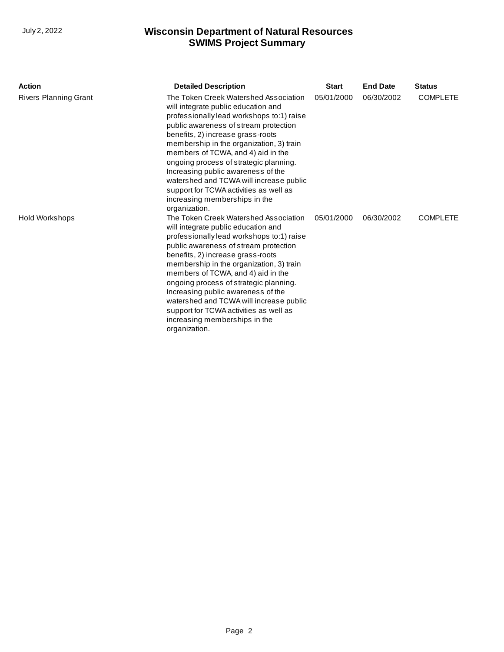| <b>Action</b>         | <b>Detailed Description</b>                                                                                                                                                                                                                                                                                                                                                                                                                                                                                      | <b>Start</b> | <b>End Date</b> | <b>Status</b>   |
|-----------------------|------------------------------------------------------------------------------------------------------------------------------------------------------------------------------------------------------------------------------------------------------------------------------------------------------------------------------------------------------------------------------------------------------------------------------------------------------------------------------------------------------------------|--------------|-----------------|-----------------|
| Rivers Planning Grant | The Token Creek Watershed Association<br>will integrate public education and<br>professionally lead workshops to:1) raise<br>public awareness of stream protection<br>benefits, 2) increase grass-roots<br>membership in the organization, 3) train<br>members of TCWA, and 4) aid in the<br>ongoing process of strategic planning.<br>Increasing public awareness of the<br>watershed and TCWA will increase public<br>support for TCWA activities as well as<br>increasing memberships in the<br>organization. | 05/01/2000   | 06/30/2002      | <b>COMPLETE</b> |
| <b>Hold Workshops</b> | The Token Creek Watershed Association<br>will integrate public education and<br>professionally lead workshops to:1) raise<br>public awareness of stream protection<br>benefits, 2) increase grass-roots<br>membership in the organization, 3) train<br>members of TCWA, and 4) aid in the<br>ongoing process of strategic planning.<br>Increasing public awareness of the<br>watershed and TCWA will increase public<br>support for TCWA activities as well as<br>increasing memberships in the<br>organization. | 05/01/2000   | 06/30/2002      | <b>COMPLETE</b> |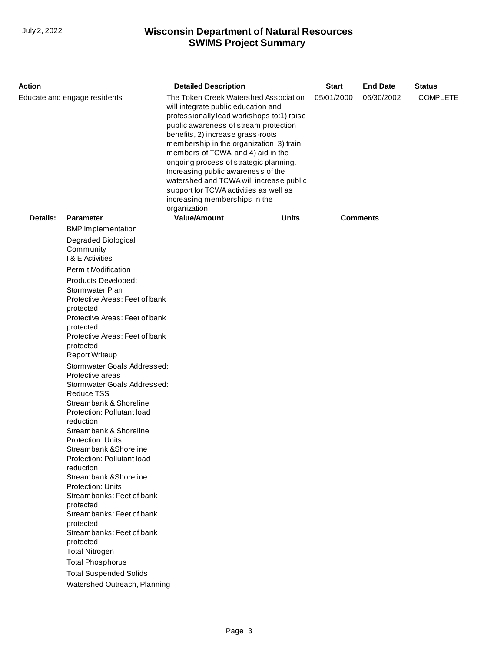| The Token Creek Watershed Association<br>05/01/2000<br>06/30/2002<br><b>COMPLETE</b><br>will integrate public education and<br>professionally lead workshops to:1) raise<br>public awareness of stream protection<br>benefits, 2) increase grass-roots<br>membership in the organization, 3) train<br>members of TCWA, and 4) aid in the<br>ongoing process of strategic planning.<br>Increasing public awareness of the<br>watershed and TCWA will increase public<br>support for TCWA activities as well as<br>increasing memberships in the<br>organization.<br><b>Value/Amount</b><br>Details:<br><b>Parameter</b><br>Units<br><b>Comments</b><br><b>BMP</b> Implementation<br>Degraded Biological<br>Community<br>I & E Activities<br><b>Permit Modification</b><br>Products Developed:<br>Stormwater Plan<br>Protective Areas: Feet of bank<br>protected<br>Protective Areas: Feet of bank<br>protected<br>Protective Areas: Feet of bank<br>protected<br><b>Report Writeup</b><br>Stormwater Goals Addressed:<br>Protective areas<br>Stormwater Goals Addressed:<br><b>Reduce TSS</b><br>Streambank & Shoreline<br>Protection: Pollutant load<br>reduction<br>Streambank & Shoreline<br><b>Protection: Units</b><br>Streambank & Shoreline<br>Protection: Pollutant load<br>reduction<br>Streambank & Shoreline<br><b>Protection: Units</b><br>Streambanks: Feet of bank<br>protected<br>Streambanks: Feet of bank<br>protected<br>Streambanks: Feet of bank<br>protected<br><b>Total Nitrogen</b><br><b>Total Phosphorus</b><br><b>Total Suspended Solids</b><br>Watershed Outreach, Planning | Action                       |  | <b>Detailed Description</b> | <b>Start</b> | <b>End Date</b> | <b>Status</b> |  |
|-------------------------------------------------------------------------------------------------------------------------------------------------------------------------------------------------------------------------------------------------------------------------------------------------------------------------------------------------------------------------------------------------------------------------------------------------------------------------------------------------------------------------------------------------------------------------------------------------------------------------------------------------------------------------------------------------------------------------------------------------------------------------------------------------------------------------------------------------------------------------------------------------------------------------------------------------------------------------------------------------------------------------------------------------------------------------------------------------------------------------------------------------------------------------------------------------------------------------------------------------------------------------------------------------------------------------------------------------------------------------------------------------------------------------------------------------------------------------------------------------------------------------------------------------------------------------------------------------------|------------------------------|--|-----------------------------|--------------|-----------------|---------------|--|
|                                                                                                                                                                                                                                                                                                                                                                                                                                                                                                                                                                                                                                                                                                                                                                                                                                                                                                                                                                                                                                                                                                                                                                                                                                                                                                                                                                                                                                                                                                                                                                                                       | Educate and engage residents |  |                             |              |                 |               |  |
|                                                                                                                                                                                                                                                                                                                                                                                                                                                                                                                                                                                                                                                                                                                                                                                                                                                                                                                                                                                                                                                                                                                                                                                                                                                                                                                                                                                                                                                                                                                                                                                                       |                              |  |                             |              |                 |               |  |
|                                                                                                                                                                                                                                                                                                                                                                                                                                                                                                                                                                                                                                                                                                                                                                                                                                                                                                                                                                                                                                                                                                                                                                                                                                                                                                                                                                                                                                                                                                                                                                                                       |                              |  |                             |              |                 |               |  |
|                                                                                                                                                                                                                                                                                                                                                                                                                                                                                                                                                                                                                                                                                                                                                                                                                                                                                                                                                                                                                                                                                                                                                                                                                                                                                                                                                                                                                                                                                                                                                                                                       |                              |  |                             |              |                 |               |  |
|                                                                                                                                                                                                                                                                                                                                                                                                                                                                                                                                                                                                                                                                                                                                                                                                                                                                                                                                                                                                                                                                                                                                                                                                                                                                                                                                                                                                                                                                                                                                                                                                       |                              |  |                             |              |                 |               |  |
|                                                                                                                                                                                                                                                                                                                                                                                                                                                                                                                                                                                                                                                                                                                                                                                                                                                                                                                                                                                                                                                                                                                                                                                                                                                                                                                                                                                                                                                                                                                                                                                                       |                              |  |                             |              |                 |               |  |
|                                                                                                                                                                                                                                                                                                                                                                                                                                                                                                                                                                                                                                                                                                                                                                                                                                                                                                                                                                                                                                                                                                                                                                                                                                                                                                                                                                                                                                                                                                                                                                                                       |                              |  |                             |              |                 |               |  |
|                                                                                                                                                                                                                                                                                                                                                                                                                                                                                                                                                                                                                                                                                                                                                                                                                                                                                                                                                                                                                                                                                                                                                                                                                                                                                                                                                                                                                                                                                                                                                                                                       |                              |  |                             |              |                 |               |  |
|                                                                                                                                                                                                                                                                                                                                                                                                                                                                                                                                                                                                                                                                                                                                                                                                                                                                                                                                                                                                                                                                                                                                                                                                                                                                                                                                                                                                                                                                                                                                                                                                       |                              |  |                             |              |                 |               |  |
|                                                                                                                                                                                                                                                                                                                                                                                                                                                                                                                                                                                                                                                                                                                                                                                                                                                                                                                                                                                                                                                                                                                                                                                                                                                                                                                                                                                                                                                                                                                                                                                                       |                              |  |                             |              |                 |               |  |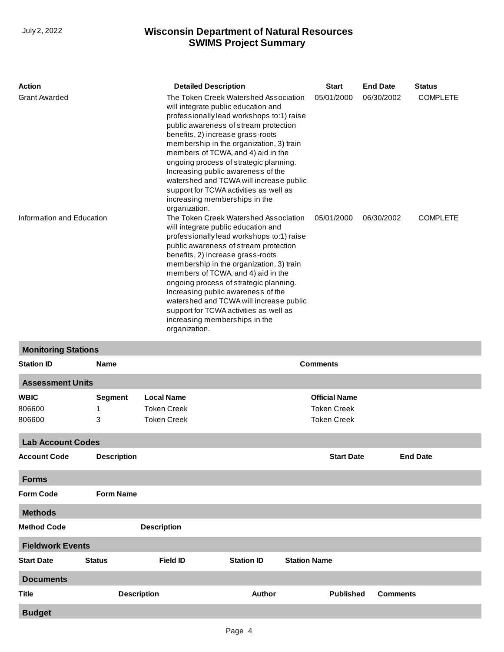| <b>Action</b>             | <b>Detailed Description</b>                                                                                                                                                                                                                                                                                                                                                                                                                                                                                      | <b>Start</b> | <b>End Date</b> | <b>Status</b>   |
|---------------------------|------------------------------------------------------------------------------------------------------------------------------------------------------------------------------------------------------------------------------------------------------------------------------------------------------------------------------------------------------------------------------------------------------------------------------------------------------------------------------------------------------------------|--------------|-----------------|-----------------|
| <b>Grant Awarded</b>      | The Token Creek Watershed Association<br>will integrate public education and<br>professionally lead workshops to:1) raise<br>public awareness of stream protection<br>benefits, 2) increase grass-roots<br>membership in the organization, 3) train<br>members of TCWA, and 4) aid in the<br>ongoing process of strategic planning.<br>Increasing public awareness of the<br>watershed and TCWA will increase public<br>support for TCWA activities as well as<br>increasing memberships in the<br>organization. | 05/01/2000   | 06/30/2002      | <b>COMPLETE</b> |
| Information and Education | The Token Creek Watershed Association<br>will integrate public education and<br>professionally lead workshops to:1) raise<br>public awareness of stream protection<br>benefits, 2) increase grass-roots<br>membership in the organization, 3) train<br>members of TCWA, and 4) aid in the<br>ongoing process of strategic planning.<br>Increasing public awareness of the<br>watershed and TCWA will increase public<br>support for TCWA activities as well as<br>increasing memberships in the<br>organization. | 05/01/2000   | 06/30/2002      | <b>COMPLETE</b> |

## **Monitoring Stations**

| <b>Station ID</b>               | <b>Name</b>              |                                                               |                   | <b>Comments</b>                                                  |                 |  |
|---------------------------------|--------------------------|---------------------------------------------------------------|-------------------|------------------------------------------------------------------|-----------------|--|
| <b>Assessment Units</b>         |                          |                                                               |                   |                                                                  |                 |  |
| <b>WBIC</b><br>806600<br>806600 | <b>Segment</b><br>1<br>3 | <b>Local Name</b><br><b>Token Creek</b><br><b>Token Creek</b> |                   | <b>Official Name</b><br><b>Token Creek</b><br><b>Token Creek</b> |                 |  |
| <b>Lab Account Codes</b>        |                          |                                                               |                   |                                                                  |                 |  |
| <b>Account Code</b>             | <b>Description</b>       |                                                               |                   | <b>Start Date</b>                                                | <b>End Date</b> |  |
| <b>Forms</b>                    |                          |                                                               |                   |                                                                  |                 |  |
| <b>Form Code</b>                | <b>Form Name</b>         |                                                               |                   |                                                                  |                 |  |
| <b>Methods</b>                  |                          |                                                               |                   |                                                                  |                 |  |
| <b>Method Code</b>              |                          | <b>Description</b>                                            |                   |                                                                  |                 |  |
| <b>Fieldwork Events</b>         |                          |                                                               |                   |                                                                  |                 |  |
| <b>Start Date</b>               | <b>Status</b>            | <b>Field ID</b>                                               | <b>Station ID</b> | <b>Station Name</b>                                              |                 |  |
| <b>Documents</b>                |                          |                                                               |                   |                                                                  |                 |  |
| <b>Title</b>                    |                          | <b>Description</b>                                            | Author            | <b>Published</b>                                                 | <b>Comments</b> |  |
| <b>Budget</b>                   |                          |                                                               |                   |                                                                  |                 |  |